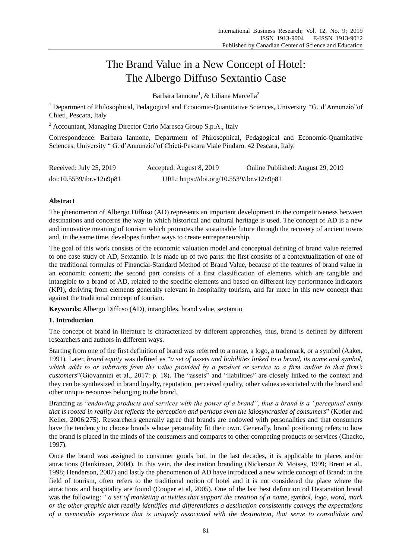# The Brand Value in a New Concept of Hotel: The Albergo Diffuso Sextantio Case

Barbara Iannone<sup>1</sup>, & Liliana Marcella<sup>2</sup>

<sup>1</sup> Department of Philosophical, Pedagogical and Economic-Quantitative Sciences, University "G. d'Annunzio"of Chieti, Pescara, Italy

<sup>2</sup> Accountant, Managing Director Carlo Maresca Group S.p.A., Italy

Correspondence: Barbara Iannone, Department of Philosophical, Pedagogical and Economic-Quantitative Sciences, University " G. d'Annunzio"of Chieti-Pescara Viale Pindaro, 42 Pescara, Italy.

| Received: July 25, 2019  | Accepted: August 8, 2019                  | Online Published: August 29, 2019 |
|--------------------------|-------------------------------------------|-----------------------------------|
| doi:10.5539/ibr.v12n9p81 | URL: https://doi.org/10.5539/ibr.v12n9p81 |                                   |

# **Abstract**

The phenomenon of Albergo Diffuso (AD) represents an important development in the competitiveness between destinations and concerns the way in which historical and cultural heritage is used. The concept of AD is a new and innovative meaning of tourism which promotes the sustainable future through the recovery of ancient towns and, in the same time, developes further ways to create entrepreneurship.

The goal of this work consists of the economic valuation model and conceptual defining of brand value referred to one case study of AD, Sextantio. It is made up of two parts: the first consists of a contextualization of one of the traditional formulas of Financial-Standard Method of Brand Value, because of the features of brand value in an economic content; the second part consists of a first classification of elements which are tangible and intangible to a brand of AD, related to the specific elements and based on different key performance indicators (KPI), deriving from elements generally relevant in hospitality tourism, and far more in this new concept than against the traditional concept of tourism.

**Keywords:** Albergo Diffuso (AD), intangibles, brand value, sextantio

## **1. Introduction**

The concept of brand in literature is characterized by different approaches, thus, brand is defined by different researchers and authors in different ways.

Starting from one of the first definition of brand was referred to a name, a logo, a trademark, or a symbol (Aaker, 1991). Later, *brand equity* was defined as "*a set of assets and liabilities linked to a brand, its name and symbol, which adds to or subtracts from the value provided by a product or service to a firm and/or to that firm's customers*"(Giovannini et al., 2017: p. 18). The "assets" and "liabilities" are closely linked to the context and they can be synthesized in brand loyalty, reputation, perceived quality, other values associated with the brand and other unique resources belonging to the brand.

Branding as "*endowing products and services with the power of a brand", thus a brand is a "perceptual entity that is rooted in reality but reflects the perception and perhaps even the idiosyncrasies of consumers*" (Kotler and Keller, 2006:275). Researchers generally agree that brands are endowed with personalities and that consumers have the tendency to choose brands whose personality fit their own. Generally, brand positioning refers to how the brand is placed in the minds of the consumers and compares to other competing products or services (Chacko, 1997).

Once the brand was assigned to consumer goods but, in the last decades, it is applicable to places and/or attractions (Hankinson, 2004). In this vein, the destination branding (Nickerson & Moisey, 1999; Brent et al., 1998; Henderson, 2007) and lastly the phenomenon of AD have introduced a new winde concept of Brand: in the field of tourism, often refers to the traditional notion of hotel and it is not considered the place where the attractions and hospitality are found (Cooper et al, 2005). One of the last best definition od Destanation brand was the following: " *a set of marketing activities that support the creation of a name, symbol, logo, word, mark or the other graphic that readily identifies and differentiates a destination consistently conveys the expectations of a memorable experience that is uniquely associated with the destination, that serve to consolidate and*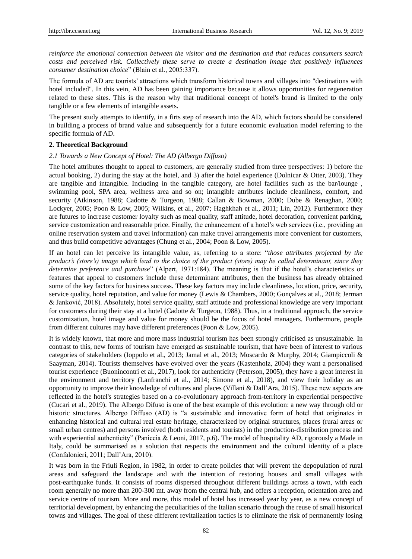*reinforce the emotional connection between the visitor and the destination and that reduces consumers search costs and perceived risk. Collectively these serve to create a destination image that positively influences consumer destination choice*" (Blain et al., 2005:337).

The formula of AD are tourists' attractions which transform historical towns and villages into "destinations with hotel included". In this vein, AD has been gaining importance because it allows opportunities for regeneration related to these sites. This is the reason why that traditional concept of hotel's brand is limited to the only tangible or a few elements of intangible assets.

The present study attempts to identify, in a firts step of research into the AD, which factors should be considered in building a process of brand value and subsequently for a future economic evaluation model referring to the specific formula of AD.

#### **2. Theoretical Background**

#### *2.1 Towards a New Concept of Hotel: The AD (Albergo Diffuso)*

The hotel attributes thought to appeal to customers, are generally studied from three perspectives: 1) before the actual booking, 2) during the stay at the hotel, and 3) after the hotel experience (Dolnicar & Otter, 2003). They are tangible and intangible. Including in the tangible category, are hotel facilities such as the bar/lounge , swimming pool, SPA area, wellness area and so on; intangible attributes include cleanliness, comfort, and security (Atkinson, 1988; Cadotte & Turgeon, 1988; Callan & Bowman, 2000; Dube & Renaghan, 2000; Lockyer, 2005; Poon & Low, 2005; Wilkins, et al., 2007; Haghkhah et al., 2011; Lin, 2012). Furthermore they are futures to increase customer loyalty such as meal quality, staff attitude, hotel decoration, convenient parking, service customization and reasonable price. Finally, the enhancement of a hotel's web services (i.e., providing an online reservation system and travel information) can make travel arrangements more convenient for customers, and thus build competitive advantages (Chung et al., 2004; Poon & Low, 2005).

If an hotel can let perceive its intangible value, as, referring to a store: "*those attributes projected by the product's (store's) image which lead to the choice of the product (store) may be called determinant, since they determine preference and purchase*" (Alpert, 1971:184). The meaning is that if the hotel's characteristics or features that appeal to customers include these determinant attributes, then the business has already obtained some of the key factors for business success. These key factors may include cleanliness, location, price, security, service quality, hotel reputation, and value for money (Lewis & Chambers, 2000; Gon calves at al., 2018; Jerman & Janković, 2018). Absolutely, hotel service quality, staff attitude and professional knowledge are very important for customers during their stay at a hotel (Cadotte & Turgeon, 1988). Thus, in a traditional approach, the service customization, hotel image and value for money should be the focus of hotel managers. Furthermore, people from different cultures may have different preferences (Poon & Low, 2005).

It is widely known, that more and more mass industrial tourism has been strongly criticised as unsustainable. In contrast to this, new forms of tourism have emerged as sustainable tourism, that have been of interest to various categories of stakeholders (Ioppolo et al., 2013; Jamal et al., 2013; Moscardo & Murphy, 2014; Giampiccoli & Saayman, 2014). Tourists themselves have evolved over the years (Kastenholz, 2004) they want a personalised tourist experience (Buonincontri et al., 2017), look for authenticity (Peterson, 2005), they have a great interest in the environment and territory (Lanfranchi et al., 2014; Simone et al., 2018), and view their holiday as an opportunity to improve their knowledge of cultures and places (Villani & Dall'Ara, 2015). These new aspects are reflected in the hotel's strategies based on a co-evolutionary approach from-territory in experiential perspective (Cucari et al., 2019). The Albergo Difuso is one of the best example of this evolution: a new way through old or historic structures. Albergo Diffuso (AD) is "a sustainable and innovative form of hotel that originates in enhancing historical and cultural real estate heritage, characterized by original structures, places (rural areas or small urban centres) and persons involved (both residents and tourists) in the production-distribution process and with experiential authenticity" (Paniccia & Leoni, 2017, p.6). The model of hospitality AD, rigorously a Made in Italy, could be summarised as a solution that respects the environment and the cultural identity of a place (Confalonieri, 2011; Dall'Ara, 2010).

It was born in the Friuli Region, in 1982, in order to create policies that will prevent the depopulation of rural areas and safeguard the landscape and with the intention of restoring houses and small villages with post-earthquake funds. It consists of rooms dispersed throughout different buildings across a town, with each room generally no more than 200-300 mt. away from the central hub, and offers a reception, orientation area and service centre of tourism. More and more, this model of hotel has increased year by year, as a new concept of territorial development, by enhancing the peculiarities of the Italian scenario through the reuse of small historical towns and villages. The goal of these different revitalization tactics is to eliminate the risk of permanently losing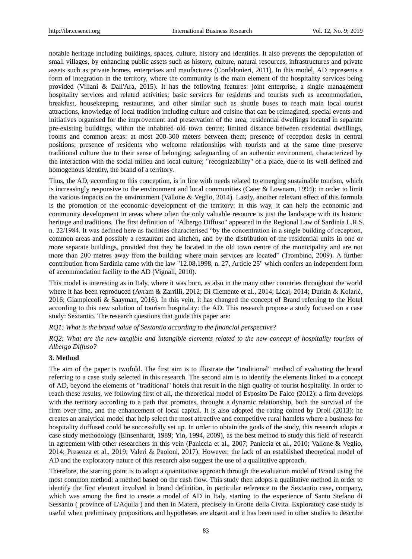notable heritage including buildings, spaces, culture, history and identities. It also prevents the depopulation of small villages, by enhancing public assets such as history, culture, natural resources, infrastructures and private assets such as private homes, enterprises and maufactures (Confalonieri, 2011). In this model, AD represents a form of integration in the territory, where the community is the main element of the hospitality services being provided (Villani & Dall'Ara, 2015). It has the following features: joint enterprise, a single management hospitality services and related activities; basic services for residents and tourists such as accommodation, breakfast, housekeeping, restaurants, and other similar such as shuttle buses to reach main local tourist attractions, knowledge of local tradition including culture and cuisine that can be reimagined, special events and initiatives organised for the improvement and preservation of the area; residential dwellings located in separate pre-existing buildings, within the inhabited old town centre; limited distance between residential dwellings, rooms and common areas: at most 200-300 meters between them; presence of reception desks in central positions; presence of residents who welcome relationships with tourists and at the same time preserve traditional culture due to their sense of belonging; safeguarding of an authentic environment, characterized by the interaction with the social milieu and local culture; "recognizability" of a place, due to its well defined and homogenous identity, the brand of a territory.

Thus, the AD, according to this conception, is in line with needs related to emerging sustainable tourism, which is increasingly responsive to the environment and local communities (Cater & Lownam, 1994): in order to limit the various impacts on the environment (Vallone & Veglio, 2014). Lastly, another relevant effect of this formula is the promotion of the economic development of the territory: in this way, it can help the economic and community development in areas where often the only valuable resource is just the landscape with its historic heritage and traditions. The first definition of "Albergo Diffuso" appeared in the Regional Law of Sardinia L.R.S. n. 22/1984. It was defined here as facilities characterised "by the concentration in a single building of reception, common areas and possibly a restaurant and kitchen, and by the distribution of the residential units in one or more separate buildings, provided that they be located in the old town centre of the municipality and are not more than 200 metres away from the building where main services are located" (Trombino, 2009). A further contribution from Sardinia came with the law "12.08.1998, n. 27, Article 25" which confers an independent form of accommodation facility to the AD (Vignali, 2010).

This model is interesting as in Italy, where it was born, as also in the many other countries throughout the world where it has been reproduced (Avram & Zarrilli, 2012; Di Clemente et al., 2014; Liçaj, 2014; Durkin & Kolarić, 2016; Giampiccoli & Saayman, 2016). In this vein, it has changed the concept of Brand referring to the Hotel according to this new solution of tourism hospitality: the AD. This research propose a study focused on a case study: Sextantio. The research questions that guide this paper are:

#### *RQ1: What is the brand value of Sextantio according to the financial perspective?*

*RQ2: What are the new tangible and intangible elements related to the new concept of hospitality tourism of Albergo Diffuso?* 

#### **3. Method**

The aim of the paper is twofold. The first aim is to illustrate the "traditional" method of evaluating the brand referring to a case study selected in this research. The second aim is to identify the elements linked to a concept of AD, beyond the elements of "traditional" hotels that result in the high quality of tourist hospitality. In order to reach these results, we following first of all, the theoretical model of Esposito De Falco (2012): a firm develops with the territory according to a path that promotes, throught a dynamic relationship, both the survival of the firm over time, and the enhancement of local capital. It is also adopted the rating coined by Droli (2013): he creates an analytical model that help select the most attractive and competitive rural hamlets where a business for hospitality duffused could be successfully set up. In order to obtain the goals of the study, this research adopts a case study methodology (Einsenhardt, 1989; Yin, 1994, 2009), as the best method to study this field of research in agreement with other researchers in this vein (Paniccia et al., 2007; Paniccia et al., 2010; Vallone & Veglio, 2014; Presenza et al., 2019; Valeri & Paoloni, 2017). However, the lack of an established theoretical model of AD and the exploratory nature of this research also suggest the use of a qualitative approach.

Therefore, the starting point is to adopt a quantitative approach through the evaluation model of Brand using the most common method: a method based on the cash flow. This study then adopts a qualitative method in order to identify the first element involved in brand definition, in particular reference to the Sextantio case, company, which was among the first to create a model of AD in Italy, starting to the experience of Santo Stefano di Sessanio ( province of L'Aquila ) and then in Matera, precisely in Grotte della Civita. Exploratory case study is useful when preliminary propositions and hypotheses are absent and it has been used in other studies to describe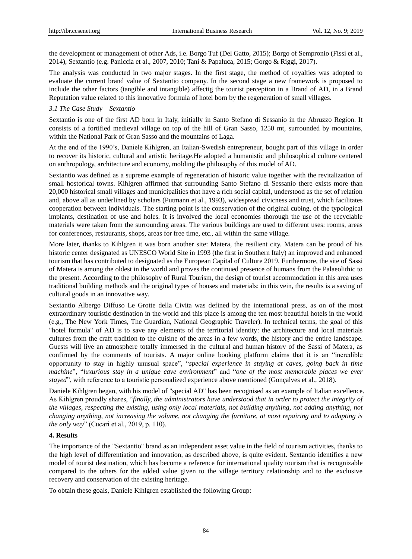the development or management of other Ads, i.e. Borgo Tuf (Del Gatto, 2015); Borgo of Sempronio (Fissi et al., 2014), Sextantio (e.g. Paniccia et al., 2007, 2010; Tani & Papaluca, 2015; Gorgo & Riggi, 2017).

The analysis was conducted in two major stages. In the first stage, the method of royalties was adopted to evaluate the current brand value of Sextantio company. In the second stage a new framework is proposed to include the other factors (tangible and intangible) affectig the tourist perception in a Brand of AD, in a Brand Reputation value related to this innovative formula of hotel born by the regeneration of small villages.

## *3.1 The Case Study – Sextantio*

Sextantio is one of the first AD born in Italy, initially in Santo Stefano di Sessanio in the Abruzzo Region. It consists of a fortified medieval village on top of the hill of Gran Sasso, 1250 mt, surrounded by mountains, within the National Park of Gran Sasso and the mountains of Laga.

At the end of the 1990's, Daniele Kihlgren, an Italian-Swedish entrepreneur, bought part of this village in order to recover its historic, cultural and artistic heritage.He adopted a humanistic and philosophical culture centered on anthropology, architecture and economy, molding the philosophy of this model of AD.

Sextantio was defined as a supreme example of regeneration of historic value together with the revitalization of small hostorical towns. Kihlgren affirmed that surrounding Santo Stefano di Sessanio there exists more than 20,000 historical small villages and municipalities that have a rich social capital, understood as the set of relation and, above all as underlined by scholars (Putmann et al., 1993), widespread civicness and trust, which facilitates cooperation between individuals. The starting point is the conservation of the original cubing, of the typological implants, destination of use and holes. It is involved the local economies thorough the use of the recyclable materials were taken from the surrounding areas. The various buildings are used to different uses: rooms, areas for conferences, restaurants, shops, areas for free time, etc., all within the same village.

More later, thanks to Kihlgren it was born another site: Matera, the resilient city. Matera can be proud of his historic center designated as UNESCO World Site in 1993 (the first in Southern Italy) an improved and enhanced tourism that has contributed to designated as the European Capital of Culture 2019. Furthermore, the site of Sassi of Matera is among the oldest in the world and proves the continued presence of humans from the Palaeolithic to the present. According to the philosophy of Rural Tourism, the design of tourist accommodation in this area uses traditional building methods and the original types of houses and materials: in this vein, the results is a saving of cultural goods in an innovative way.

Sextantio Albergo Diffuso Le Grotte della Civita was defined by the international press, as on of the most extraordinary touristic destination in the world and this place is among the ten most beautiful hotels in the world (e.g., The New York Times, The Guardian, National Geographic Traveler). In technical terms, the goal of this "hotel formula" of AD is to save any elements of the territorial identity: the architecture and local materials cultures from the craft tradition to the cuisine of the areas in a few words, the history and the entire landscape. Guests will live an atmosphere totally immersed in the cultural and human history of the Sassi of Matera, as confirmed by the comments of tourists. A major online booking platform claims that it is an "incredible opportunity to stay in highly unusual space", "*special experience in staying at caves, going back in time machine*", "*luxurious stay in a unique cave environment*" and "*one of the most memorable places we ever stayed*", with reference to a touristic personalized experience above mentioned (Gon calves et al., 2018).

Daniele Kihlgren began, with his model of "special AD" has been recognised as an example of Italian excellence. As Kihlgren proudly shares, "*finally, the administrators have understood that in order to protect the integrity of the villages, respecting the existing, using only local materials, not building anything, not adding anything, not changing anything, not increasing the volume, not changing the furniture, at most repairing and to adapting is the only way*" (Cucari et al., 2019, p. 110).

#### **4. Results**

The importance of the "Sextantio" brand as an independent asset value in the field of tourism activities, thanks to the high level of differentiation and innovation, as described above, is quite evident. Sextantio identifies a new model of tourist destination, which has become a reference for international quality tourism that is recognizable compared to the others for the added value given to the village territory relationship and to the exclusive recovery and conservation of the existing heritage.

To obtain these goals, Daniele Kihlgren established the following Group: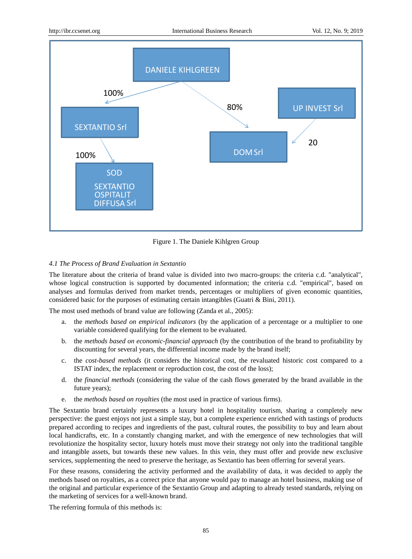

Figure 1. The Daniele Kihlgren Group

## *4.1 The Process of Brand Evaluation in Sextantio*

The literature about the criteria of brand value is divided into two macro-groups: the criteria c.d. "analytical", whose logical construction is supported by documented information; the criteria c.d. "empirical", based on analyses and formulas derived from market trends, percentages or multipliers of given economic quantities, considered basic for the purposes of estimating certain intangibles (Guatri & Bini, 2011).

The most used methods of brand value are following (Zanda et al., 2005):

- a. the *methods based on empirical indicators* (by the application of a percentage or a multiplier to one variable considered qualifying for the element to be evaluated.
- b. the *methods based on economic-financial approach* (by the contribution of the brand to profitability by discounting for several years, the differential income made by the brand itself;
- c. the *cost-based methods* (it considers the historical cost, the revaluated historic cost compared to a ISTAT index, the replacement or reproduction cost, the cost of the loss);
- d. the *financial methods* (considering the value of the cash flows generated by the brand available in the future years);
- e. the *methods based on royalties* (the most used in practice of various firms).

The Sextantio brand certainly represents a luxury hotel in hospitality tourism, sharing a completely new perspective: the guest enjoys not just a simple stay, but a complete experience enriched with tastings of products prepared according to recipes and ingredients of the past, cultural routes, the possibility to buy and learn about local handicrafts, etc. In a constantly changing market, and with the emergence of new technologies that will revolutionize the hospitality sector, luxury hotels must move their strategy not only into the traditional tangible and intangible assets, but towards these new values. In this vein, they must offer and provide new exclusive services, supplementing the need to preserve the heritage, as Sextantio has been offerring for several years.

For these reasons, considering the activity performed and the availability of data, it was decided to apply the methods based on royalties, as a correct price that anyone would pay to manage an hotel business, making use of the original and particular experience of the Sextantio Group and adapting to already tested standards, relying on the marketing of services for a well-known brand.

The referring formula of this methods is: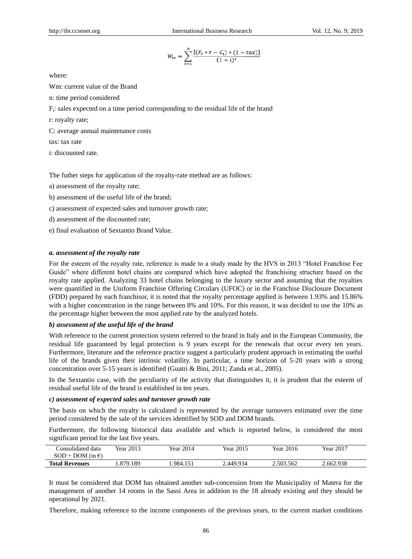$$
W_m = \sum_{t=1}^{n} \frac{\left[ (F_t * r - C_t) * (1 - t a x) \right]}{(1 + i)^t}
$$

where:

Wm: current value of the Brand

n: time period considered

Ft : sales expected on a time period corresponding to the residual life of the brand

r: royalty rate;

C: average annual maintenance costs

tax: tax rate

i: discounted rate.

The futher steps for application of the royalty-rate method are as follows:

a) assessment of the royalty rate;

b) assessment of the useful life of the brand;

c) assessment of expected sales and turnover growth rate;

d) assessment of the discounted rate;

e) final evaluation of Sextantio Brand Value.

## *a. assessment of the royalty rate*

For the esteem of the royalty rate, reference is made to a study made by the HVS in 2013 "Hotel Franchise Fee Guide" where different hotel chains are compared which have adopted the franchising structure based on the royalty rate applied. Analyzing 33 hotel chains belonging to the luxury sector and assuming that the royalties were quantified in the Uniform Franchise Offering Circulars (UFOC) or in the Franchise Disclosure Document (FDD) prepared by each franchisor, it is noted that the royalty percentage applied is between 1.93% and 15.86% with a higher concentration in the range between 8% and 10%. For this reason, it was decided to use the 10% as the percentage higher between the most applied rate by the analyzed hotels.

#### *b) assessment of the useful life of the brand*

With reference to the current protection system referred to the brand in Italy and in the European Community, the residual life guaranteed by legal protection is 9 years except for the renewals that occur every ten years. Furthermore, literature and the reference practice suggest a particularly prudent approach in estimating the useful life of the brands given their intrinsic volatility. In particular, a time horizon of 5-20 years with a strong concentration over 5-15 years is identified (Guatri & Bini, 2011; Zanda et al., 2005).

In the Sextantio case, with the peculiarity of the activity that distinguishes it, it is prudent that the esteem of residual useful life of the brand is established in ten years.

#### *c) assessment of expected sales and turnover growth rate*

The basis on which the royalty is calculated is represented by the average turnovers estimated over the time period considered by the sale of the services identified by SOD and DOM brands.

Furthermore, the following historical data available and which is reported below, is considered the most significant period for the last five years.

| Consolidated data<br>$SOD + DOM (in \mathcal{E})$ | Year 2013 | <b>Year 2014</b> | Year 2015 | <b>Year 2016</b> | Year 2017 |  |
|---------------------------------------------------|-----------|------------------|-----------|------------------|-----------|--|
| <b>Total Revenues</b>                             | .879.189  | .984.151         | 2.449.934 | 2.503.562        | 2.662.938 |  |

It must be considered that DOM has obtained another sub-concession from the Municipality of Matera for the management of another 14 rooms in the Sassi Area in addition to the 18 already existing and they should be operational by 2021.

Therefore, making reference to the income components of the previous years, to the current market conditions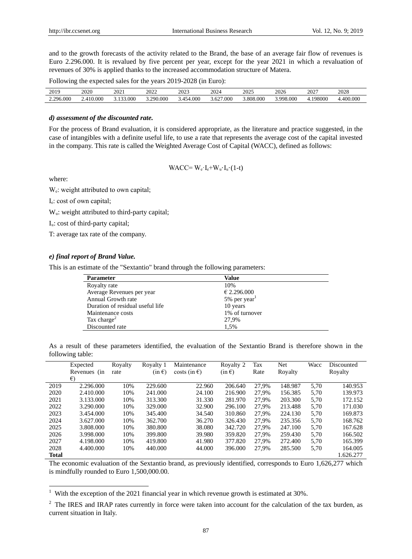and to the growth forecasts of the activity related to the Brand, the base of an average fair flow of revenues is Euro 2.296.000. It is revalued by five percent per year, except for the year 2021 in which a revaluation of revenues of 30% is applied thanks to the increased accommodation structure of Matera.

Following the expected sales for the years 2019-2028 (in Euro):

| 2019      | 2020       | $\mathcal{D}$<br>-041 | 2022              | 2023        | 2024           | 2025          | 2026        | $202^{\circ}$ | 2028     |
|-----------|------------|-----------------------|-------------------|-------------|----------------|---------------|-------------|---------------|----------|
| 2.296.000 | 0.000<br>4 | .000<br>$\sim$        | 90.000<br>290<br> | .000<br>45. | 7.000<br>5.627 | ,000<br>3.808 | QQQ<br>0000 | 198000        | .400.000 |

# *d) assessment of the discounted rate.*

For the process of Brand evaluation, it is considered appropriate, as the literature and practice suggested, in the case of intangibles with a definite useful life, to use a rate that represents the average cost of the capital invested in the company. This rate is called the Weighted Average Cost of Capital (WACC), defined as follows:

$$
WACC = W_e \cdot I_e + W_u \ I_u \ (1-t)
$$

where:

-

 $W_e$ : weight attributed to own capital;

I<sub>e</sub>: cost of own capital;

 $W_u$ : weight attributed to third-party capital;

I<sub>u</sub>: cost of third-party capital;

T: average tax rate of the company.

# *e) final report of Brand Value.*

This is an estimate of the "Sextantio" brand through the following parameters:

| <b>Parameter</b>                 | Value                    |
|----------------------------------|--------------------------|
| Royalty rate                     | 10%                      |
| Average Revenues per year        | € 2.296.000              |
| Annual Growth rate               | 5% per year <sup>1</sup> |
| Duration of residual useful life | 10 years                 |
| Maintenance costs                | 1% of turnover           |
| Tax charge <sup>2</sup>          | 27.9%                    |
| Discounted rate                  | 1.5%                     |

| As a result of these parameters identified, the evaluation of the Sextantio Brand is therefore shown in the |  |  |  |  |  |  |  |
|-------------------------------------------------------------------------------------------------------------|--|--|--|--|--|--|--|
| following table:                                                                                            |  |  |  |  |  |  |  |

|              | Expected     | Royalty | Royalty 1  | Maintenance                | Royalty 2  | Tax   | <b>Net</b> | Wacc | Discounted |
|--------------|--------------|---------|------------|----------------------------|------------|-------|------------|------|------------|
|              | Revenues (in | rate    | $(in \in)$ | $\csc(\text{in }\epsilon)$ | $(in \in)$ | Rate  | Royalty    |      | Royalty    |
|              | €            |         |            |                            |            |       |            |      |            |
| 2019         | 2.296,000    | 10%     | 229.600    | 22.960                     | 206.640    | 27,9% | 148.987    | 5,70 | 140.953    |
| 2020         | 2.410.000    | 10%     | 241.000    | 24.100                     | 216.900    | 27.9% | 156.385    | 5,70 | 139.973    |
| 2021         | 3.133.000    | 10%     | 313.300    | 31.330                     | 281.970    | 27.9% | 203.300    | 5,70 | 172.152    |
| 2022         | 3.290.000    | 10%     | 329.000    | 32.900                     | 296.100    | 27.9% | 213.488    | 5,70 | 171.030    |
| 2023         | 3.454,000    | 10%     | 345.400    | 34.540                     | 310.860    | 27.9% | 224.130    | 5.70 | 169.873    |
| 2024         | 3.627.000    | 10%     | 362.700    | 36.270                     | 326.430    | 27.9% | 235.356    | 5.70 | 168.762    |
| 2025         | 3.808.000    | 10%     | 380.800    | 38.080                     | 342.720    | 27.9% | 247.100    | 5,70 | 167.628    |
| 2026         | 3.998.000    | 10%     | 399.800    | 39.980                     | 359.820    | 27.9% | 259.430    | 5,70 | 166.502    |
| 2027         | 4.198.000    | 10%     | 419.800    | 41.980                     | 377.820    | 27.9% | 272.400    | 5,70 | 165.399    |
| 2028         | 4.400.000    | 10%     | 440.000    | 44.000                     | 396.000    | 27.9% | 285.500    | 5,70 | 164.005    |
| <b>Total</b> |              |         |            |                            |            |       |            |      | 1.626.277  |

The economic evaluation of the Sextantio brand, as previously identified, corresponds to Euro 1,626,277 which is mindfully rounded to Euro 1,500,000.00.

<sup>&</sup>lt;sup>1</sup> With the exception of the 2021 financial year in which revenue growth is estimated at 30%.

<sup>&</sup>lt;sup>2</sup> The IRES and IRAP rates currently in force were taken into account for the calculation of the tax burden, as current situation in Italy.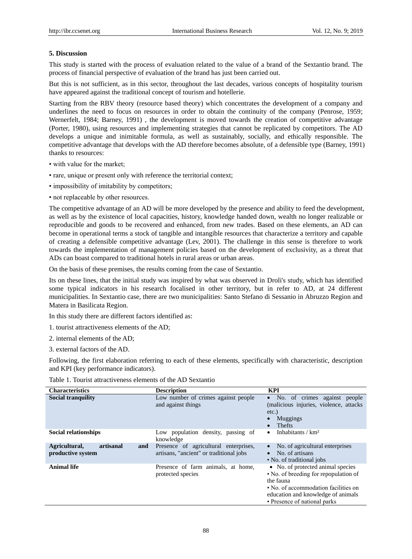## **5. Discussion**

This study is started with the process of evaluation related to the value of a brand of the Sextantio brand. The process of financial perspective of evaluation of the brand has just been carried out.

But this is not sufficient, as in this sector, throughout the last decades, various concepts of hospitality tourism have appeared against the traditional concept of tourism and hotellerie.

Starting from the RBV theory (resource based theory) which concentrates the development of a company and underlines the need to focus on resources in order to obtain the continuity of the company (Penrose, 1959; Wernerfelt, 1984; Barney, 1991) , the development is moved towards the creation of competitive advantage (Porter, 1980), using resources and implementing strategies that cannot be replicated by competitors. The AD develops a unique and inimitable formula, as well as sustainably, socially, and ethically responsible. The competitive advantage that develops with the AD therefore becomes absolute, of a defensible type (Barney, 1991) thanks to resources:

- with value for the market;
- rare, unique or present only with reference the territorial context;
- impossibility of imitability by competitors;
- not replaceable by other resources.

The competitive advantage of an AD will be more developed by the presence and ability to feed the development, as well as by the existence of local capacities, history, knowledge handed down, wealth no longer realizable or reproducible and goods to be recovered and enhanced, from new trades. Based on these elements, an AD can become in operational terms a stock of tangible and intangible resources that characterize a territory and capable of creating a defensible competitive advantage (Lev, 2001). The challenge in this sense is therefore to work towards the implementation of management policies based on the development of exclusivity, as a threat that ADs can boast compared to traditional hotels in rural areas or urban areas.

On the basis of these premises, the results coming from the case of Sextantio.

Its on these lines, that the initial study was inspired by what was observed in Droli's study, which has identified some typical indicators in his research focalised in other territory, but in refer to AD, at 24 different municipalities. In Sextantio case, there are two municipalities: Santo Stefano di Sessanio in Abruzzo Region and Matera in Basilicata Region.

In this study there are different factors identified as:

- 1. tourist attractiveness elements of the AD;
- 2. internal elements of the AD;
- 3. external factors of the AD.

Following, the first elaboration referring to each of these elements, specifically with characteristic, description and KPI (key performance indicators).

| <b>Characteristics</b>                                 | <b>Description</b>                                                               | <b>KPI</b>                                                                                                                                                                                            |
|--------------------------------------------------------|----------------------------------------------------------------------------------|-------------------------------------------------------------------------------------------------------------------------------------------------------------------------------------------------------|
| <b>Social tranquility</b>                              | Low number of crimes against people<br>and against things                        | • No. of crimes against people<br>(malicious injuries, violence, attacks<br>$etc.$ )<br>Muggings<br><b>Thefts</b>                                                                                     |
| <b>Social relationships</b>                            | Low population density, passing of<br>knowledge                                  | Inhabitants / $km2$<br>$\bullet$                                                                                                                                                                      |
| artisanal<br>Agricultural,<br>and<br>productive system | Presence of agricultural enterprises,<br>artisans, "ancient" or traditional jobs | No. of agricultural enterprises<br>No. of artisans<br>• No. of traditional jobs                                                                                                                       |
| <b>Animal life</b>                                     | Presence of farm animals, at home,<br>protected species                          | • No. of protected animal species<br>• No. of breeding for repopulation of<br>the fauna<br>• No. of accommodation facilities on<br>education and knowledge of animals<br>• Presence of national parks |

Table 1. Tourist attractiveness elements of the AD Sextantio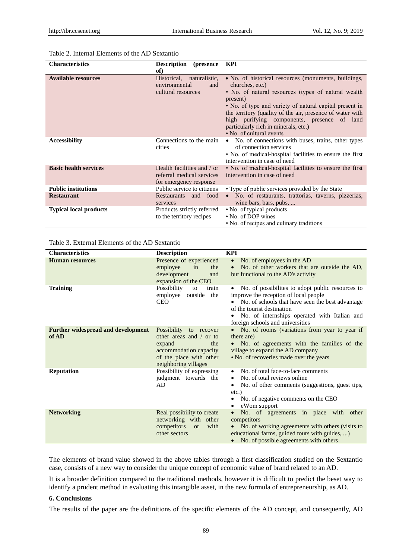| <b>Characteristics</b>        | <b>Description</b><br>(presence)                                                  | <b>KPI</b>                                                                                                                                                                                                                                                                                                                                                                             |
|-------------------------------|-----------------------------------------------------------------------------------|----------------------------------------------------------------------------------------------------------------------------------------------------------------------------------------------------------------------------------------------------------------------------------------------------------------------------------------------------------------------------------------|
|                               | of)                                                                               |                                                                                                                                                                                                                                                                                                                                                                                        |
| <b>Available resources</b>    | Historical,<br>naturalistic,<br>environmental<br>and<br>cultural resources        | • No. of historical resources (monuments, buildings,<br>churches, etc.)<br>• No. of natural resources (types of natural wealth)<br>present)<br>• No. of type and variety of natural capital present in<br>the territory (quality of the air, presence of water with<br>high purifying components, presence of land<br>particularly rich in minerals, etc.)<br>• No. of cultural events |
| <b>Accessibility</b>          | Connections to the main<br>cities                                                 | No. of connections with buses, trains, other types<br>$\bullet$<br>of connection services<br>• No. of medical-hospital facilities to ensure the first<br>intervention in case of need                                                                                                                                                                                                  |
| <b>Basic health services</b>  | Health facilities and / or<br>referral medical services<br>for emergency response | • No. of medical-hospital facilities to ensure the first<br>intervention in case of need                                                                                                                                                                                                                                                                                               |
| <b>Public institutions</b>    | Public service to citizens                                                        | • Type of public services provided by the State                                                                                                                                                                                                                                                                                                                                        |
| <b>Restaurant</b>             | Restaurants and food<br>services                                                  | No. of restaurants, trattorias, taverns, pizzerias,<br>wine bars, bars, pubs,                                                                                                                                                                                                                                                                                                          |
| <b>Typical local products</b> | Products strictly referred<br>to the territory recipes                            | • No. of typical products<br>• No. of DOP wines<br>• No. of recipes and culinary traditions                                                                                                                                                                                                                                                                                            |

## Table 2. Internal Elements of the AD Sextantio

Table 3. External Elements of the AD Sextantio

| <b>Characteristics</b>                             | <b>Description</b>                                                                                                                                     | <b>KPI</b>                                                                                                                                                                                                                                                                    |
|----------------------------------------------------|--------------------------------------------------------------------------------------------------------------------------------------------------------|-------------------------------------------------------------------------------------------------------------------------------------------------------------------------------------------------------------------------------------------------------------------------------|
| <b>Human resources</b>                             | Presence of experienced<br>employee<br>in<br>the<br>development<br>and<br>expansion of the CEO                                                         | No. of employees in the AD<br>$\bullet$<br>No. of other workers that are outside the AD,<br>$\bullet$<br>but functional to the AD's activity                                                                                                                                  |
| <b>Training</b>                                    | Possibility<br>train<br>to<br>employee<br>outside<br>the<br><b>CEO</b>                                                                                 | No. of possibilities to adopt public resources to<br>$\bullet$<br>improve the reception of local people<br>No. of schools that have seen the best advantage<br>of the tourist destination<br>No. of internships operated with Italian and<br>foreign schools and universities |
| <b>Further widespread and development</b><br>of AD | Possibility to recover<br>other areas and $\prime$ or to<br>the<br>expand<br>accommodation capacity<br>of the place with other<br>neighboring villages | No. of rooms (variations from year to year if<br>there are)<br>No. of agreements with the families of the<br>village to expand the AD company<br>• No. of recoveries made over the years                                                                                      |
| <b>Reputation</b>                                  | Possibility of expressing<br>judgment towards the<br>AD                                                                                                | No. of total face-to-face comments<br>$\bullet$<br>No. of total reviews online.<br>No. of other comments (suggestions, guest tips,<br>٠<br>$etc.$ )<br>No. of negative comments on the CEO<br>$\bullet$<br>eWom support                                                       |
| <b>Networking</b>                                  | Real possibility to create<br>networking with other<br>competitors<br>with<br><b>or</b><br>other sectors                                               | No. of agreements in place with other<br>competitors<br>No. of working agreements with others (visits to<br>educational farms, guided tours with guides, )<br>No. of possible agreements with others                                                                          |

The elements of brand value showed in the above tables through a first classification studied on the Sextantio case, consists of a new way to consider the unique concept of economic value of brand related to an AD.

It is a broader definition compared to the traditional methods, however it is difficult to predict the beset way to identify a prudent method in evaluating this intangible asset, in the new formula of entrepreneurship, as AD.

#### **6. Conclusions**

The results of the paper are the definitions of the specific elements of the AD concept, and consequently, AD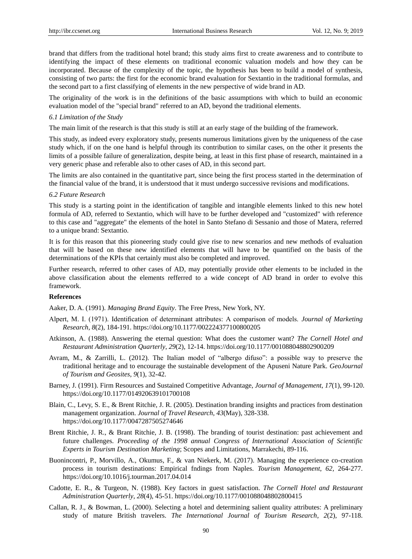brand that differs from the traditional hotel brand; this study aims first to create awareness and to contribute to identifying the impact of these elements on traditional economic valuation models and how they can be incorporated. Because of the complexity of the topic, the hypothesis has been to build a model of synthesis, consisting of two parts: the first for the economic brand evaluation for Sextantio in the traditional formulas, and the second part to a first classifying of elements in the new perspective of wide brand in AD.

The originality of the work is in the definitions of the basic assumptions with which to build an economic evaluation model of the "special brand" referred to an AD, beyond the traditional elements.

## *6.1 Limitation of the Study*

The main limit of the research is that this study is still at an early stage of the building of the framework.

This study, as indeed every exploratory study, presents numerous limitations given by the uniqueness of the case study which, if on the one hand is helpful through its contribution to similar cases, on the other it presents the limits of a possible failure of generalization, despite being, at least in this first phase of research, maintained in a very generic phase and referable also to other cases of AD, in this second part.

The limits are also contained in the quantitative part, since being the first process started in the determination of the financial value of the brand, it is understood that it must undergo successive revisions and modifications.

#### *6.2 Future Research*

This study is a starting point in the identification of tangible and intangible elements linked to this new hotel formula of AD, referred to Sextantio, which will have to be further developed and "customized" with reference to this case and "aggregate" the elements of the hotel in Santo Stefano di Sessanio and those of Matera, referred to a unique brand: Sextantio.

It is for this reason that this pioneering study could give rise to new scenarios and new methods of evaluation that will be based on these new identified elements that will have to be quantified on the basis of the determinations of the KPIs that certainly must also be completed and improved.

Further research, referred to other cases of AD, may potentially provide other elements to be included in the above classification about the elements refferred to a wide concept of AD brand in order to evolve this framework.

#### **References**

Aaker, D. A. (1991). *Managing Brand Equity*. The Free Press, New York, NY.

- Alpert, M. I. (1971). Identification of determinant attributes: A comparison of models. *Journal of Marketing Research*, *8*(2), 184-191. https://doi.org/10.1177/002224377100800205
- Atkinson, A. (1988). Answering the eternal question: What does the customer want? *The Cornell Hotel and Restaurant Administration Quarterly*, *29*(2), 12-14. https://doi.org/10.1177/001088048802900209
- Avram, M., & Zarrilli, L. (2012). The Italian model of "albergo difuso": a possible way to preserve the traditional heritage and to encourage the sustainable development of the Apuseni Nature Park. *[GeoJournal](https://www.cabdirect.org/cabdirect/search/?q=do%3a%22GeoJournal+of+Tourism+and+Geosites%22)  [of Tourism and Geosites](https://www.cabdirect.org/cabdirect/search/?q=do%3a%22GeoJournal+of+Tourism+and+Geosites%22)*, *9*(1), 32-42.
- Barney, J. (1991). Firm Resources and Sustained Competitive Advantage, *Journal of Management*, *17*(1), 99-120. https://doi.org/10.1177/014920639101700108
- Blain, C., Levy, S. E., & Brent Ritchie, J. R. (2005). Destination branding insights and practices from destination management organization. *Journal of Travel Research*, *43*(May), 328-338. https://doi.org/10.1177/0047287505274646
- Brent Ritchie, J. R., & Brant Ritchie, J. B. (1998). The branding of tourist destination: past achievement and future challenges. *Proceeding of the 1998 annual Congress of International Association of Scientific Experts in Tourism Destination Marketing*; Scopes and Limitations, Marrakechi, 89-116.
- Buonincontri, P., Morvillo, A., Okumus, F., & van Niekerk, M. (2017). Managing the experience co-creation process in tourism destinations: Empirical fndings from Naples. *Tourism Management*, *62,* 264-277. https://doi.org/10.1016/j.tourman.2017.04.014
- Cadotte, E. R., & Turgeon, N. (1988). Key factors in guest satisfaction. *The Cornell Hotel and Restaurant Administration Quarterly*, *28*(4), 45-51. https://doi.org/10.1177/001088048802800415
- Callan, R. J., & Bowman, L. (2000). Selecting a hotel and determining salient quality attributes: A preliminary study of mature British travelers. *The International Journal of Tourism Research*, *2*(2), 97-118.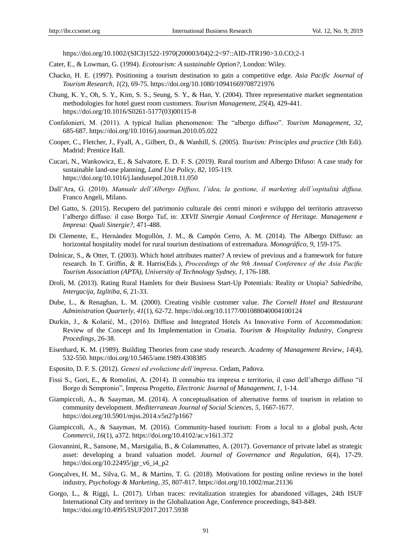https://doi.org/10.1002/(SICI)1522-1970(200003/04)2:2<97::AID-JTR190>3.0.CO;2-1

- Cater, E., & Lowman, G. (1994). *Ecotourism: A sustainable Option?*, London: Wiley.
- Chacko, H. E. (1997). Positioning a tourism destination to gain a competitive edge. *Asia Pacific Journal of Tourism Research*, *1*(2), 69-75. https://doi.org/10.1080/10941669708721976
- Chung, K. Y., Oh, S. Y., Kim, S. S., Seung, S. Y., & Han, Y. (2004). Three representative market segmentation methodologies for hotel guest room customers. *Tourism Management*, *25*(4), 429-441. https://doi.org/10.1016/S0261-5177(03)00115-8
- Confalonieri, M. (2011). A typical Italian phenomenon: The "albergo diffuso". *Tourism Management*, *32,*  685-687. https://doi.org/10.1016/j.tourman.2010.05.022
- Cooper, C., Fletcher, J., Fyall, A., Gilbert, D., & Wanhill, S. (2005). *Tourism: Principles and practice* (3th Edi). Madrid: Prentice Hall.
- Cucari, N., Wankowicz, E., & Salvatore, E. D. F. S. (2019). Rural tourism and Albergo Difuso: A case study for sustainable land-use planning, *Land Use Policy*, *82,* 105-119. https://doi.org/10.1016/j.landusepol.2018.11.050
- Dall'Ara, G. (2010). *Manuale dell'Albergo Diffuso, l'idea, la gestione, il marketing dell'ospitalità diffusa*. Franco Angeli, Milano.
- Del Gatto, S. (2015). Recupero del patrimonio culturale dei centri minori e sviluppo del territorio attraverso l'albergo diffuso: il caso Borgo Tuf, in: *XXVII Sinergie Annual Conference of Heritage. Management e Impresa: Quali Sinergie?*, 471-488.
- Di Clemente, E., Hernández Mogollón, J. M., & Campón Cerro, A. M. (2014). The Albergo Diffuso: an horizontal hospitality model for rural tourism destinations of extremadura. *Monográfico*, *9,* 159-175.
- Dolnicar, S., & Otter, T. (2003). Which hotel attributes matter? A review of previous and a framework for future research. In T. Griffin, & R. Harris(Eds.), *Proceedings of the 9th Annual Conference of the Asia Pacific Tourism Association (APTA)*, *University of Technology Sydney, 1,* 176-188.
- Droli, M. (2013). Rating Rural Hamlets for their Business Start-Up Potentials: Reality or Utopia? *Sabiedriba, Intergacija, Izglitiba*, *6,* 21-33.
- Dube, L., & Renaghan, L. M. (2000). Creating visible customer value. *The Cornell Hotel and Restaurant Administration Quarterly*, *41*(1), 62-72. https://doi.org/10.1177/001088040004100124
- Durkin, J., & Kolarić, M., (2016). Diffuse and Integrated Hotels As Innovative Form of Accommodation: Review of the Concept and Its Implementation in Croatia. *Tourism & Hospitality Industry*, *Congress Procedings*, 26-38.
- Eisenhard, K. M. (1989). Building Theories from case study research. *Academy of Management Review*, *14*(4), 532-550. https://doi.org/10.5465/amr.1989.4308385
- Esposito, D. F. S. (2012). *Genesi ed evoluzione dell'impresa*. Cedam, Padova.
- Fissi S., Gori, E., & Romolini, A. (2014). Il connubio tra impresa e territorio, il caso dell'albergo diffuso "il Borgo di Sempronio", Impresa Progetto, *Electronic Journal of Management*, *1*, 1-14.
- Giampiccoli, A., & Saayman, M. (2014). A conceptualisation of alternative forms of tourism in relation to community development. *Mediterranean Journal of Social Sciences*, *5,* 1667-1677. https://doi.org/10.5901/mjss.2014.v5n27p1667
- Giampiccoli, A., & Saayman, M. (2016). Community-based tourism: From a local to a global push, *Acta Commercii, 16*(1), a372. https://doi.org/10.4102/ac.v16i1.372
- Giovannini, R., Sansone, M., Marsigalia, B., & Colammatteo, A. (2017). Governance of private label as strategic asset: developing a brand valuation model. *Journal of Governance and Regulation*, *6*(4), 17-29. https://doi.org/10.22495/jgr\_v6\_i4\_p2
- [Gonçalves,](https://onlinelibrary.wiley.com/action/doSearch?ContribAuthorStored=Gon%C3%A7alves%2C+Helena+Martins) H. M., [Silva,](https://onlinelibrary.wiley.com/action/doSearch?ContribAuthorStored=Silva%2C+Gra%C3%A7a+Miranda) G. M., [& Martins,](https://onlinelibrary.wiley.com/action/doSearch?ContribAuthorStored=Martins%2C+Telma+Gomes) T. G. (2018). Motivations for posting online reviews in the hotel industry, *Psychology & Marketing*, *35,* 807-817. https://doi.org/10.1002/mar.21136
- Gorgo, L., & Riggi, L. (2017). Urban traces: revitalization strategies for abandoned villages, 24th ISUF International City and territory in the Globalization Age, Conference proceedings, 843-849. https://doi.org/10.4995/ISUF2017.2017.5938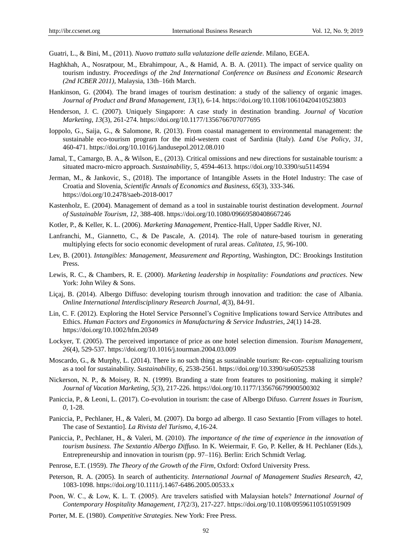Guatri, L., & Bini, M., (2011). *Nuovo trattato sulla valutazione delle aziende*. Milano, EGEA.

- Haghkhah, A., Nosratpour, M., Ebrahimpour, A., & Hamid, A. B. A. (2011). The impact of service quality on tourism industry. *Proceedings of the 2nd International Conference on Business and Economic Research (2nd ICBER 2011)*, Malaysia, 13th–16th March.
- Hankinson, G. (2004). The brand images of tourism destination: a study of the saliency of organic images. *Journal of Product and Brand Management*, *13*(1), 6-14. https://doi.org/10.1108/10610420410523803
- Henderson, J. C. (2007). Uniquely Singapore: A case study in destination branding. *Journal of Vacation Marketing*, *13*(3), 261-274. https://doi.org/10.1177/1356766707077695
- Ioppolo, G., Saija, G., & Salomone, R. (2013). From coastal management to environmental management: the sustainable eco-tourism program for the mid-western coast of Sardinia (Italy). *Land Use Policy*, *31,* 460-471. https://doi.org/10.1016/j.landusepol.2012.08.010
- Jamal, T., Camargo, B. A., & Wilson, E., (2013). Critical omissions and new directions for sustainable tourism: a situated macro-micro approach. *Sustainability*, *5,* 4594-4613. https://doi.org/10.3390/su5114594
- Jerman, M., & Jankovic, S., (2018). The importance of Intangible Assets in the Hotel Industry: The case of Croatia and Slovenia, *Scientific Annals of Economics and Business*, *65*(3), 333-346. https://doi.org/10.2478/saeb-2018-0017
- Kastenholz, E. (2004). Management of demand as a tool in sustainable tourist destination development. *Journal of Sustainable Tourism*, *12,* 388-408. https://doi.org/10.1080/09669580408667246
- Kotler, P., & Keller, K. L. (2006). *Marketing Management*, Prentice‐Hall, Upper Saddle River, NJ.
- Lanfranchi, M., Giannetto, C., & De Pascale, A. (2014). The role of nature-based tourism in generating multiplying efects for socio economic development of rural areas. *Calitatea*, *15,* 96-100.
- [Lev,](http://periodici.caspur.it/cgi-bin/sciserv.pl?collection=journals&journal=02632373&issue=v21i0002&article=201_tri&form=fulltext#BIB19-BACK#BIB19-BACK) B. (2001). *Intangibles: Management*, *Measurement and Reporting*, Washington, DC: Brookings Institution Press.
- Lewis, R. C., & Chambers, R. E. (2000). *Marketing leadership in hospitality: Foundations and practices*. New York: John Wiley & Sons.
- Liçaj, B. (2014). Albergo Diffuso: developing tourism through innovation and tradition: the case of Albania. *[Online International Interdisciplinary Research Journal](https://www.cabdirect.org/cabdirect/search/?q=do%3a%22Online+International+Interdisciplinary+Research+Journal%22)*, *4*(3), 84-91.
- Lin, C. F. (2012). Exploring the Hotel Service Personnel's Cognitive Implications toward Service Attributes and Ethics. *Human Factors and Ergonomics in Manufacturing & Service Industries*, *24*(1) 14-28. https://doi.org/10.1002/hfm.20349
- Lockyer, T. (2005). The perceived importance of price as one hotel selection dimension. *Tourism Management*, *26*(4), 529-537. https://doi.org/10.1016/j.tourman.2004.03.009
- Moscardo, G., & Murphy, L. (2014). There is no such thing as sustainable tourism: Re-con- ceptualizing tourism as a tool for sustainability. *Sustainability*, *6,* 2538-2561. https://doi.org/10.3390/su6052538
- Nickerson, N. P., & Moisey, R. N. (1999). Branding a state from features to positioning. making it simple? *Journal of Vacation Marketing*, *5*(3), 217-226. https://doi.org/10.1177/135676679900500302
- Paniccia, P., & Leoni, L. (2017). Co-evolution in tourism: the case of Albergo Difuso. *Current Issues in Tourism*, *0,* 1-28.
- Paniccia, P., Pechlaner, H., & Valeri, M. (2007). Da borgo ad albergo. Il caso Sextantio [From villages to hotel. The case of Sextantio]. *La Rivista del Turismo*, *4,*16-24.
- Paniccia, P., Pechlaner, H., & Valeri, M. (2010). *The importance of the time of experience in the innovation of tourism business. The Sextantio Albergo Diffuso.* In K. Weiermair, F. Go, P. Keller, & H. Pechlaner (Eds.), Entrepreneurship and innovation in tourism (pp. 97–116). Berlin: Erich Schmidt Verlag.
- Penrose, E.T. (1959). *The Theory of the Growth of the Firm*, Oxford: Oxford University Press.
- Peterson, R. A. (2005). In search of authenticity. *International Journal of Management Studies Research, 42,*  1083-1098. https://doi.org/10.1111/j.1467-6486.2005.00533.x
- Poon, W. C., & Low, K. L. T. (2005). Are travelers satisfied with Malaysian hotels? *International Journal of Contemporary Hospitality Management*, *17*(2/3), 217-227. https://doi.org/10.1108/09596110510591909
- Porter, M. E. (1980). *Competitive Strategies*. New York: Free Press.